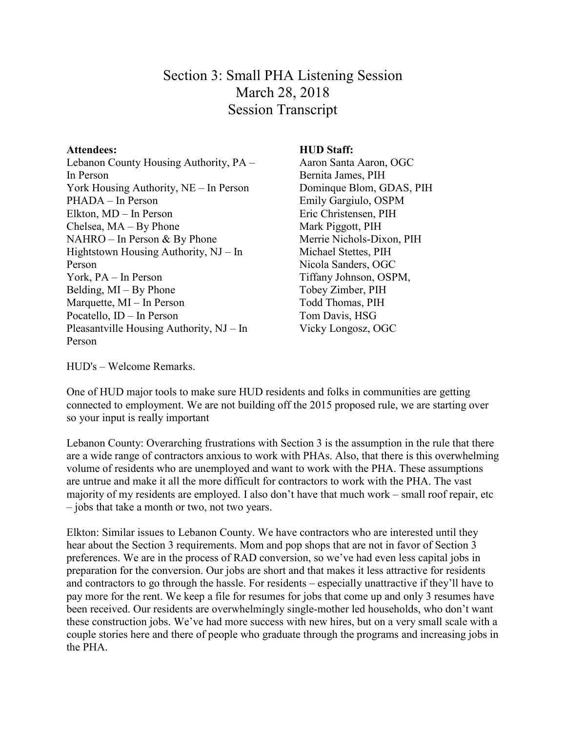# Section 3: Small PHA Listening Session March 28, 2018 Session Transcript

#### **Attendees:**

Lebanon County Housing Authority, PA – In Person York Housing Authority, NE – In Person PHADA – In Person Elkton, MD – In Person Chelsea, MA – By Phone NAHRO – In Person & By Phone Hightstown Housing Authority, NJ – In Person York, PA – In Person Belding, MI – By Phone Marquette, MI – In Person Pocatello, ID – In Person Pleasantville Housing Authority, NJ – In Person

#### **HUD Staff:**

Aaron Santa Aaron, OGC Bernita James, PIH Dominque Blom, GDAS, PIH Emily Gargiulo, OSPM Eric Christensen, PIH Mark Piggott, PIH Merrie Nichols-Dixon, PIH Michael Stettes, PIH Nicola Sanders, OGC Tiffany Johnson, OSPM, Tobey Zimber, PIH Todd Thomas, PIH Tom Davis, HSG Vicky Longosz, OGC

HUD's – Welcome Remarks.

One of HUD major tools to make sure HUD residents and folks in communities are getting connected to employment. We are not building off the 2015 proposed rule, we are starting over so your input is really important

Lebanon County: Overarching frustrations with Section 3 is the assumption in the rule that there are a wide range of contractors anxious to work with PHAs. Also, that there is this overwhelming volume of residents who are unemployed and want to work with the PHA. These assumptions are untrue and make it all the more difficult for contractors to work with the PHA. The vast majority of my residents are employed. I also don't have that much work – small roof repair, etc – jobs that take a month or two, not two years.

Elkton: Similar issues to Lebanon County. We have contractors who are interested until they hear about the Section 3 requirements. Mom and pop shops that are not in favor of Section 3 preferences. We are in the process of RAD conversion, so we've had even less capital jobs in preparation for the conversion. Our jobs are short and that makes it less attractive for residents and contractors to go through the hassle. For residents – especially unattractive if they'll have to pay more for the rent. We keep a file for resumes for jobs that come up and only 3 resumes have been received. Our residents are overwhelmingly single-mother led households, who don't want these construction jobs. We've had more success with new hires, but on a very small scale with a couple stories here and there of people who graduate through the programs and increasing jobs in the PHA.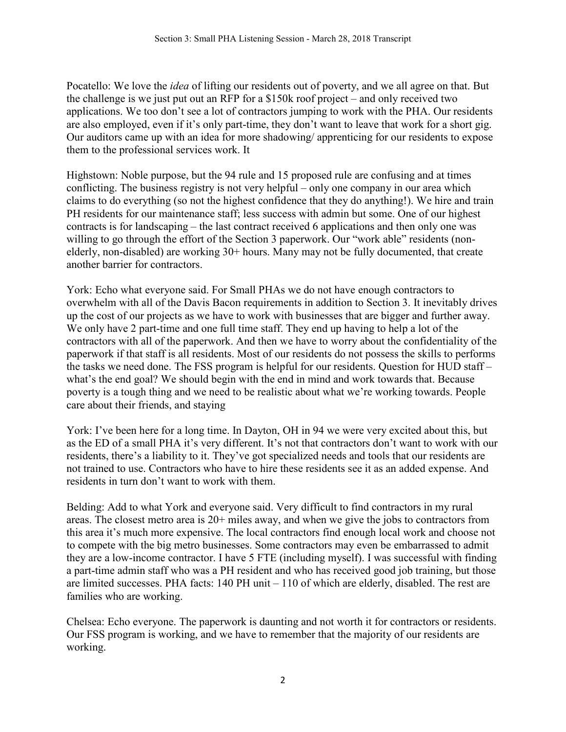Pocatello: We love the *idea* of lifting our residents out of poverty, and we all agree on that. But the challenge is we just put out an RFP for a \$150k roof project – and only received two applications. We too don't see a lot of contractors jumping to work with the PHA. Our residents are also employed, even if it's only part-time, they don't want to leave that work for a short gig. Our auditors came up with an idea for more shadowing/ apprenticing for our residents to expose them to the professional services work. It

Highstown: Noble purpose, but the 94 rule and 15 proposed rule are confusing and at times conflicting. The business registry is not very helpful – only one company in our area which claims to do everything (so not the highest confidence that they do anything!). We hire and train PH residents for our maintenance staff; less success with admin but some. One of our highest contracts is for landscaping – the last contract received 6 applications and then only one was willing to go through the effort of the Section 3 paperwork. Our "work able" residents (nonelderly, non-disabled) are working 30+ hours. Many may not be fully documented, that create another barrier for contractors.

York: Echo what everyone said. For Small PHAs we do not have enough contractors to overwhelm with all of the Davis Bacon requirements in addition to Section 3. It inevitably drives up the cost of our projects as we have to work with businesses that are bigger and further away. We only have 2 part-time and one full time staff. They end up having to help a lot of the contractors with all of the paperwork. And then we have to worry about the confidentiality of the paperwork if that staff is all residents. Most of our residents do not possess the skills to performs the tasks we need done. The FSS program is helpful for our residents. Question for HUD staff – what's the end goal? We should begin with the end in mind and work towards that. Because poverty is a tough thing and we need to be realistic about what we're working towards. People care about their friends, and staying

York: I've been here for a long time. In Dayton, OH in 94 we were very excited about this, but as the ED of a small PHA it's very different. It's not that contractors don't want to work with our residents, there's a liability to it. They've got specialized needs and tools that our residents are not trained to use. Contractors who have to hire these residents see it as an added expense. And residents in turn don't want to work with them.

Belding: Add to what York and everyone said. Very difficult to find contractors in my rural areas. The closest metro area is 20+ miles away, and when we give the jobs to contractors from this area it's much more expensive. The local contractors find enough local work and choose not to compete with the big metro businesses. Some contractors may even be embarrassed to admit they are a low-income contractor. I have 5 FTE (including myself). I was successful with finding a part-time admin staff who was a PH resident and who has received good job training, but those are limited successes. PHA facts: 140 PH unit – 110 of which are elderly, disabled. The rest are families who are working.

Chelsea: Echo everyone. The paperwork is daunting and not worth it for contractors or residents. Our FSS program is working, and we have to remember that the majority of our residents are working.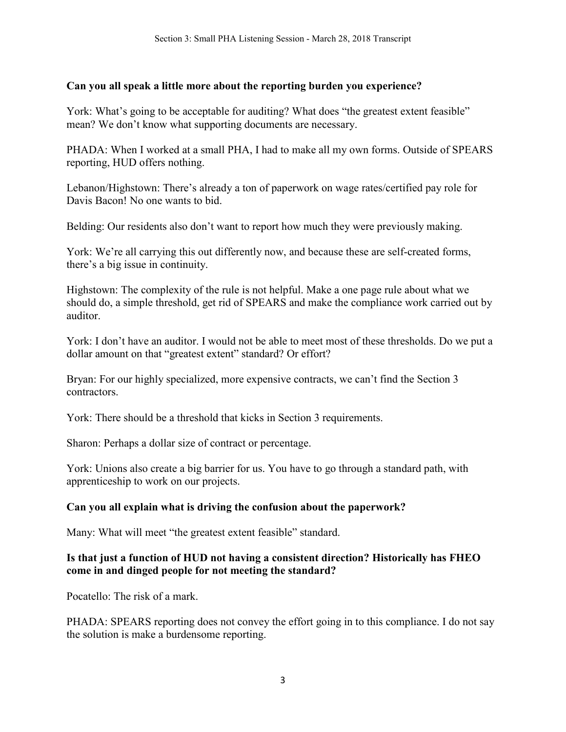#### **Can you all speak a little more about the reporting burden you experience?**

York: What's going to be acceptable for auditing? What does "the greatest extent feasible" mean? We don't know what supporting documents are necessary.

PHADA: When I worked at a small PHA, I had to make all my own forms. Outside of SPEARS reporting, HUD offers nothing.

Lebanon/Highstown: There's already a ton of paperwork on wage rates/certified pay role for Davis Bacon! No one wants to bid.

Belding: Our residents also don't want to report how much they were previously making.

York: We're all carrying this out differently now, and because these are self-created forms, there's a big issue in continuity.

Highstown: The complexity of the rule is not helpful. Make a one page rule about what we should do, a simple threshold, get rid of SPEARS and make the compliance work carried out by auditor.

York: I don't have an auditor. I would not be able to meet most of these thresholds. Do we put a dollar amount on that "greatest extent" standard? Or effort?

Bryan: For our highly specialized, more expensive contracts, we can't find the Section 3 contractors.

York: There should be a threshold that kicks in Section 3 requirements.

Sharon: Perhaps a dollar size of contract or percentage.

York: Unions also create a big barrier for us. You have to go through a standard path, with apprenticeship to work on our projects.

#### **Can you all explain what is driving the confusion about the paperwork?**

Many: What will meet "the greatest extent feasible" standard.

#### **Is that just a function of HUD not having a consistent direction? Historically has FHEO come in and dinged people for not meeting the standard?**

Pocatello: The risk of a mark.

PHADA: SPEARS reporting does not convey the effort going in to this compliance. I do not say the solution is make a burdensome reporting.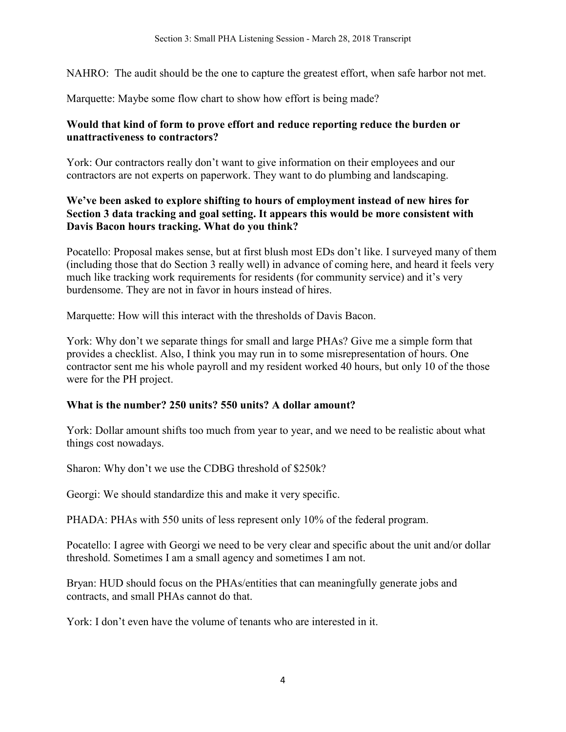NAHRO: The audit should be the one to capture the greatest effort, when safe harbor not met.

Marquette: Maybe some flow chart to show how effort is being made?

## **Would that kind of form to prove effort and reduce reporting reduce the burden or unattractiveness to contractors?**

York: Our contractors really don't want to give information on their employees and our contractors are not experts on paperwork. They want to do plumbing and landscaping.

## **We've been asked to explore shifting to hours of employment instead of new hires for Section 3 data tracking and goal setting. It appears this would be more consistent with Davis Bacon hours tracking. What do you think?**

Pocatello: Proposal makes sense, but at first blush most EDs don't like. I surveyed many of them (including those that do Section 3 really well) in advance of coming here, and heard it feels very much like tracking work requirements for residents (for community service) and it's very burdensome. They are not in favor in hours instead of hires.

Marquette: How will this interact with the thresholds of Davis Bacon.

York: Why don't we separate things for small and large PHAs? Give me a simple form that provides a checklist. Also, I think you may run in to some misrepresentation of hours. One contractor sent me his whole payroll and my resident worked 40 hours, but only 10 of the those were for the PH project.

## **What is the number? 250 units? 550 units? A dollar amount?**

York: Dollar amount shifts too much from year to year, and we need to be realistic about what things cost nowadays.

Sharon: Why don't we use the CDBG threshold of \$250k?

Georgi: We should standardize this and make it very specific.

PHADA: PHAs with 550 units of less represent only 10% of the federal program.

Pocatello: I agree with Georgi we need to be very clear and specific about the unit and/or dollar threshold. Sometimes I am a small agency and sometimes I am not.

Bryan: HUD should focus on the PHAs/entities that can meaningfully generate jobs and contracts, and small PHAs cannot do that.

York: I don't even have the volume of tenants who are interested in it.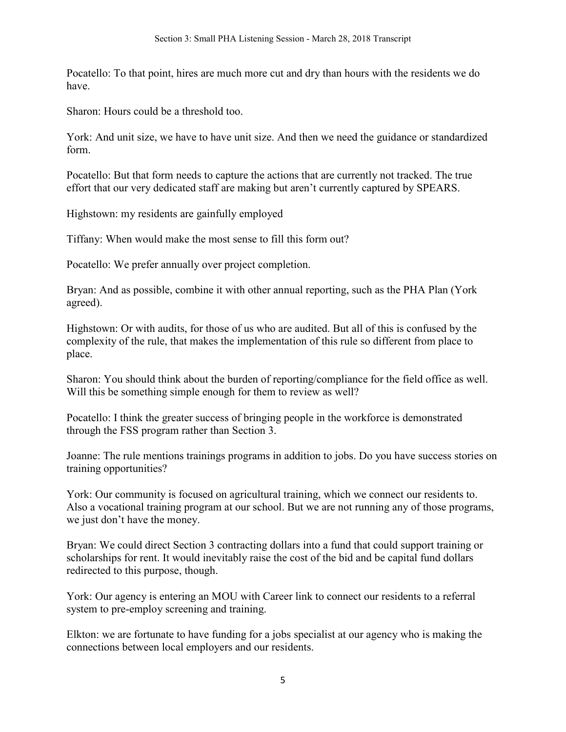Pocatello: To that point, hires are much more cut and dry than hours with the residents we do have.

Sharon: Hours could be a threshold too.

York: And unit size, we have to have unit size. And then we need the guidance or standardized form.

Pocatello: But that form needs to capture the actions that are currently not tracked. The true effort that our very dedicated staff are making but aren't currently captured by SPEARS.

Highstown: my residents are gainfully employed

Tiffany: When would make the most sense to fill this form out?

Pocatello: We prefer annually over project completion.

Bryan: And as possible, combine it with other annual reporting, such as the PHA Plan (York agreed).

Highstown: Or with audits, for those of us who are audited. But all of this is confused by the complexity of the rule, that makes the implementation of this rule so different from place to place.

Sharon: You should think about the burden of reporting/compliance for the field office as well. Will this be something simple enough for them to review as well?

Pocatello: I think the greater success of bringing people in the workforce is demonstrated through the FSS program rather than Section 3.

Joanne: The rule mentions trainings programs in addition to jobs. Do you have success stories on training opportunities?

York: Our community is focused on agricultural training, which we connect our residents to. Also a vocational training program at our school. But we are not running any of those programs, we just don't have the money.

Bryan: We could direct Section 3 contracting dollars into a fund that could support training or scholarships for rent. It would inevitably raise the cost of the bid and be capital fund dollars redirected to this purpose, though.

York: Our agency is entering an MOU with Career link to connect our residents to a referral system to pre-employ screening and training.

Elkton: we are fortunate to have funding for a jobs specialist at our agency who is making the connections between local employers and our residents.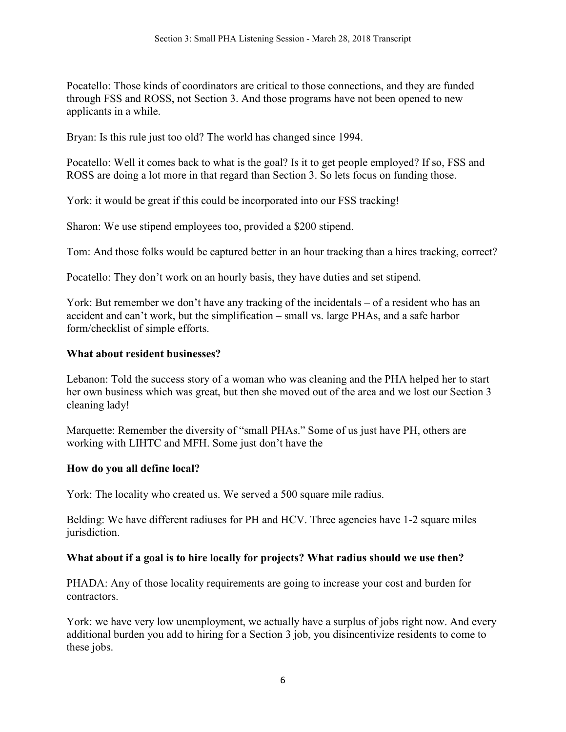Pocatello: Those kinds of coordinators are critical to those connections, and they are funded through FSS and ROSS, not Section 3. And those programs have not been opened to new applicants in a while.

Bryan: Is this rule just too old? The world has changed since 1994.

Pocatello: Well it comes back to what is the goal? Is it to get people employed? If so, FSS and ROSS are doing a lot more in that regard than Section 3. So lets focus on funding those.

York: it would be great if this could be incorporated into our FSS tracking!

Sharon: We use stipend employees too, provided a \$200 stipend.

Tom: And those folks would be captured better in an hour tracking than a hires tracking, correct?

Pocatello: They don't work on an hourly basis, they have duties and set stipend.

York: But remember we don't have any tracking of the incidentals – of a resident who has an accident and can't work, but the simplification – small vs. large PHAs, and a safe harbor form/checklist of simple efforts.

## **What about resident businesses?**

Lebanon: Told the success story of a woman who was cleaning and the PHA helped her to start her own business which was great, but then she moved out of the area and we lost our Section 3 cleaning lady!

Marquette: Remember the diversity of "small PHAs." Some of us just have PH, others are working with LIHTC and MFH. Some just don't have the

## **How do you all define local?**

York: The locality who created us. We served a 500 square mile radius.

Belding: We have different radiuses for PH and HCV. Three agencies have 1-2 square miles jurisdiction.

# **What about if a goal is to hire locally for projects? What radius should we use then?**

PHADA: Any of those locality requirements are going to increase your cost and burden for contractors.

York: we have very low unemployment, we actually have a surplus of jobs right now. And every additional burden you add to hiring for a Section 3 job, you disincentivize residents to come to these jobs.